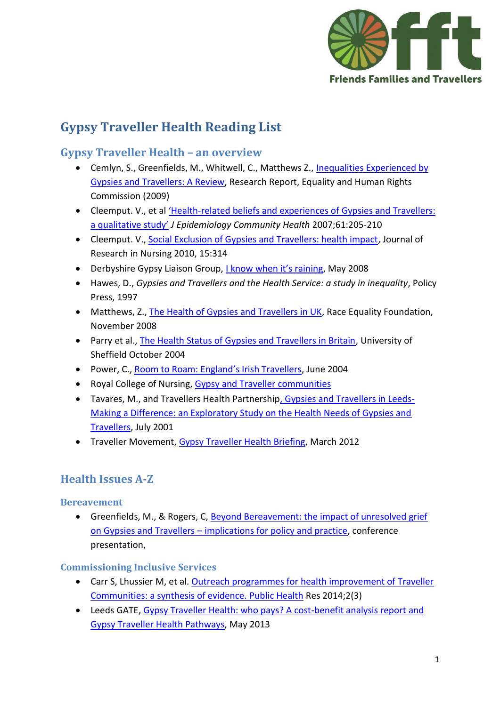

# **Gypsy Traveller Health Reading List**

# **Gypsy Traveller Health – an overview**

- Cemlyn, S., Greenfields, M., Whitwell, C., Matthews Z., [Inequalities Experienced by](http://www.equalityhumanrights.com/sites/default/files/documents/research/12inequalities_experienced_by_gypsy_and_traveller_communities_a_review.pdf)  [Gypsies and Travellers: A Review,](http://www.equalityhumanrights.com/sites/default/files/documents/research/12inequalities_experienced_by_gypsy_and_traveller_communities_a_review.pdf) Research Report, Equality and Human Rights Commission (2009)
- Cleemput. V., et al 'Health[-related beliefs and experiences of Gypsies and Travellers:](http://www.ncbi.nlm.nih.gov/pmc/articles/PMC2652909/pdf/205.pdf)  [a qualitative study'](http://www.ncbi.nlm.nih.gov/pmc/articles/PMC2652909/pdf/205.pdf) *J Epidemiology Community Health* 2007;61:205-210
- Cleemput. V.[, Social Exclusion of Gypsies and Travellers: health impact,](http://jrn.sagepub.com/content/15/4/315.full.pdf+html) Journal of Research in Nursing 2010, 15:314
- Derbyshire Gypsy Liaison Group, [I know when it's raining](http://www.dglg.org/uploads/2/4/7/5/24756021/i_know_when_its_raining.pdf), May 2008
- Hawes, D., *Gypsies and Travellers and the Health Service: a study in inequality*, Policy Press, 1997
- Matthews, Z.[, The Health of Gypsies and Travellers in UK,](http://www.better-health.org.uk/briefings/health-gypsies-and-travellers-uk) Race Equality Foundation, November 2008
- Parry et al., [The Health Status of Gypsies and Travellers in Britain,](https://www.sheffield.ac.uk/polopoly_fs/1.43714!/file/GT-final-report-for-web.pdf) University of Sheffield October 2004
- Power, C., [Room to Roam: England's Irish Travellers](http://www.statewatch.org/news/2005/feb/Room-to-Roam-England), June 2004
- Royal College of Nursing, [Gypsy and Traveller communities](http://www.rcn.org.uk/development/practice/social_inclusion/gypsy_and_traveller_communities)
- Tavares, M., and Travellers Health Partnershi[p, Gypsies and Travellers in Leeds-](http://www.grtleeds.co.uk/Health/makingaDifference.html)[Making a Difference: an Exploratory Study on the Health Needs of Gypsies and](http://www.grtleeds.co.uk/Health/makingaDifference.html)  [Travellers,](http://www.grtleeds.co.uk/Health/makingaDifference.html) July 2001
- Traveller Movement, [Gypsy Traveller Health Briefing,](http://irishtraveller.org.uk/wp-content/uploads/2012/03/ITMB-Gypsy-and-Traveller-Health-Briefing-March-20122.pdf) March 2012

# **Health Issues A-Z**

# **Bereavement**

 Greenfields, M., & Rogers, C, [Beyond Bereavement: the impact of unresolved grief](http://www.slideshare.net/britsoc/carol-rogers-conferencepresentation)  on Gypsies and Travellers – [implications for policy and practice,](http://www.slideshare.net/britsoc/carol-rogers-conferencepresentation) conference presentation,

# **Commissioning Inclusive Services**

- Carr S, Lhussier M, et al. [Outreach programmes for health improvement of Traveller](•%09http:/www.journalslibrary.nihr.ac.uk/phr/volume-2/issue-3#abstract)  [Communities: a synthesis of evidence.](•%09http:/www.journalslibrary.nihr.ac.uk/phr/volume-2/issue-3#abstract) Public Health Res 2014;2(3)
- Leeds GATE, Gypsy Traveller Health: who pays? A cost-benefit analysis report and [Gypsy Traveller Health Pathways,](http://www.leedsgate.co.uk/wp-content/uploads/2013/06/Cost-Benefit-Analysis-report-Gypsy-and-Traveller-Health-Pathways.pdf) May 2013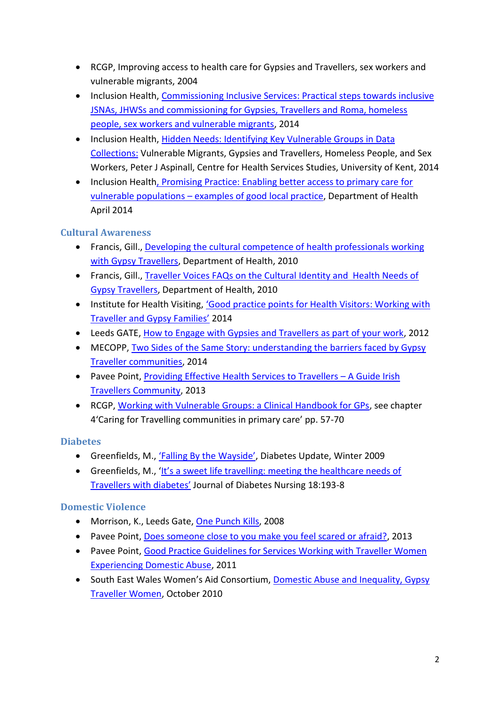- RCGP, Improving access to health care for Gypsies and Travellers, sex workers and vulnerable migrants, 2004
- Inclusion Health, Commissioning Inclusive Services: Practical steps towards inclusive [JSNAs, JHWSs and commissioning for Gypsies, Travellers and Roma, homeless](https://www.gov.uk/government/uploads/system/uploads/attachment_data/file/287787/JSNA_and_JHWS_guide_-_FINAL.pdf)  [people, sex workers and vulnerable migrants,](https://www.gov.uk/government/uploads/system/uploads/attachment_data/file/287787/JSNA_and_JHWS_guide_-_FINAL.pdf) 2014
- Inclusion Health, Hidden Needs: Identifying Key Vulnerable Groups in Data [Collections:](https://www.gov.uk/government/uploads/system/uploads/attachment_data/file/287805/vulnerable_groups_data_collections.pdf) Vulnerable Migrants, Gypsies and Travellers, Homeless People, and Sex Workers, Peter J Aspinall, Centre for Health Services Studies, University of Kent, 2014
- Inclusion Health, Promising Practice: Enabling better access to primary care for vulnerable populations – [examples of good local practice,](https://www.gov.uk/government/uploads/system/uploads/attachment_data/file/307376/Promising_Practice.pdf) Department of Health April 2014

# **Cultural Awareness**

- Francis, Gill., [Developing the cultural competence of](http://www.qni.org.uk/docs/Gill%20Francis%20Cultural%20Competence%20Gypsy%20Traveller%20MS%20Project%20Report%202010.pdf) health professionals working [with Gypsy Travellers,](http://www.qni.org.uk/docs/Gill%20Francis%20Cultural%20Competence%20Gypsy%20Traveller%20MS%20Project%20Report%202010.pdf) Department of Health, 2010
- Francis, Gill., [Traveller Voices FAQs on the Cultural Identity and Health Needs of](http://www.leedsgate.co.uk/wp-content/uploads/2011/09/MSA-Traveller-booklet.pdf)  [Gypsy Travellers,](http://www.leedsgate.co.uk/wp-content/uploads/2011/09/MSA-Traveller-booklet.pdf) Department of Health, 2010
- Institute for Health Visiting, ['Good practice points for Health Visitors: Working wi](http://www.ihv.org.uk/uploads/02%20MG_Traveller%20Families.pdf)th [Traveller and Gypsy Families'](http://www.ihv.org.uk/uploads/02%20MG_Traveller%20Families.pdf) 2014
- Leeds GATE[, How to Engage with Gypsies and Travellers as part of your work,](http://www.paveepoint.ie/tempsite3/wp-content/uploads/2013/11/Providing-Effective-Health-Services-to-Travellers.pdf) 2012
- MECOPP, Two Sides of the Same Story: understanding the barriers faced by Gypsy [Traveller communities,](http://www.mecopp.org.uk/resources-two_sides_of_the_same_story.php?section_id=338) 2014
- Pavee Point, [Providing Effective Health Services to Travellers](http://www.paveepoint.ie/tempsite3/wp-content/uploads/2013/11/Providing-Effective-Health-Services-to-Travellers.pdf)  A Guide Irish [Travellers Community,](http://www.paveepoint.ie/tempsite3/wp-content/uploads/2013/11/Providing-Effective-Health-Services-to-Travellers.pdf) 2013
- RCGP, [Working with Vulnerable Groups: a Clinical Handbook for GPs,](http://www.rcgp.org.uk/shop/books/medical-disciplines/social-and-cultural-medicine/working-with-vulnerable-groups.aspx) see chapter 4'Caring for Travelling communities in primary care' pp. 57-70

# **Diabetes**

- Greenfields, M., ['Falling By the Wayside'](http://www.diabetes.org.uk/Documents/Professionals/Referenced%20Gypsies%20and%20Travellers%20feature%20-%20Update%20Winter%2009.pdf), Diabetes Update, Winter 2009
- Greenfields, M., ['It's a sweet life travelling: meeting the healthcare needs of](http://www.thejournalofdiabetesnursing.co.uk/media/content/_master/3740/files/pdf/jdn18-5-193-8.pdf)  [Travellers with diabetes'](http://www.thejournalofdiabetesnursing.co.uk/media/content/_master/3740/files/pdf/jdn18-5-193-8.pdf) Journal of Diabetes Nursing 18:193-8

# **Domestic Violence**

- Morrison, K., Leeds Gate, [One Punch Kills,](http://www.leedsgate.co.uk/one-punch-kills/) 2008
- Pavee Point, [Does someone close to you make you feel scared or afraid?,](http://www.paveepoint.ie/tempsite3/wp-content/uploads/2014/02/Young-Traveller-Women-ENGLISH.pdf) 2013
- Pavee Point, [Good Practice Guidelines for Services Working with Traveller Women](http://www.paveepoint.ie/tempsite3/wp-content/uploads/2013/11/VAW-Best-Practice-Guidelines-for-Service-Providers.pdf)  [Experiencing Domestic Abuse,](http://www.paveepoint.ie/tempsite3/wp-content/uploads/2013/11/VAW-Best-Practice-Guidelines-for-Service-Providers.pdf) 2011
- South East Wales Women's Aid Consortium, Domestic Abuse and Inequality, Gypsy [Traveller Women,](http://www.equalityhumanrights.com/sites/default/files/documents/Wales/domestic_abuse_and_gypsy_travellers.pdf) October 2010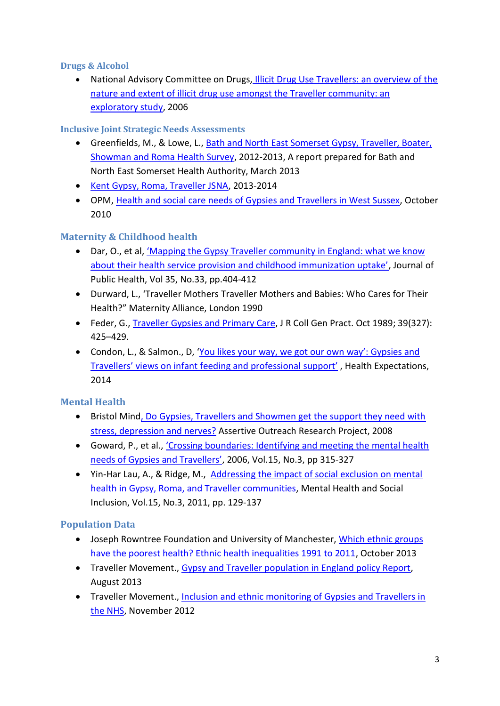#### **Drugs & Alcohol**

 National Advisory Committee on Drugs, [Illicit Drug Use Travellers: an overview of the](•%09http:/www.paveepoint.ie/tempsite3/wp-content/uploads/2013/10/NCAD-Illicit-Drug-Use-Travellers.pdf)  [nature and extent of illicit drug use amongst the Traveller community: an](•%09http:/www.paveepoint.ie/tempsite3/wp-content/uploads/2013/10/NCAD-Illicit-Drug-Use-Travellers.pdf)  [exploratory study,](•%09http:/www.paveepoint.ie/tempsite3/wp-content/uploads/2013/10/NCAD-Illicit-Drug-Use-Travellers.pdf) 2006

# **Inclusive Joint Strategic Needs Assessments**

- Greenfields, M., & Lowe, L., [Bath and North East Somerset Gypsy, Traveller, Boater,](http://bucks.ac.uk/content/documents/Research/INSTAL/703398/B_NES_Health_Study_Report_FINAL_(Full_report_Inc_Appendices).pdf)  [Showman and Roma Health Survey,](http://bucks.ac.uk/content/documents/Research/INSTAL/703398/B_NES_Health_Study_Report_FINAL_(Full_report_Inc_Appendices).pdf) 2012-2013, A report prepared for Bath and North East Somerset Health Authority, March 2013
- Kent [Gypsy, Roma, Traveller JSNA,](http://www.kmpho.nhs.uk/jsna/gypsyromatraveller/) 2013-2014
- OPM, [Health and social care needs of Gypsies and Travellers in West Sussex,](http://www.westsussex.nhs.uk/domains/westsussex.nhs.uk/local/media/publications/Health-professionals/8031_Gypsies__Travellers_report_FINAL_Oct_10.pdf) October 2010

# **Maternity & Childhood health**

- Dar, O., et al, ['Mapping the Gypsy Traveller community in England: what we know](http://www.ncbi.nlm.nih.gov/pubmed/23695702)  [about their health service provision and childhood immunization uptake'](http://www.ncbi.nlm.nih.gov/pubmed/23695702), Journal of Public Health, Vol 35, No.33, pp.404-412
- Durward, L., 'Traveller Mothers Traveller Mothers and Babies: Who Cares for Their Health?" Maternity Alliance, London 1990
- Feder, G., [Traveller Gypsies and Primary Care,](http://www.ncbi.nlm.nih.gov/pmc/articles/PMC1712126/) J R Coll Gen Pract. Oct 1989; 39(327): 425–429.
- Condon, L., & Salmon., D, 'You likes your way, we got our own way': Gypsies and [Travellers' views on infant feeding and professional](http://www.ncbi.nlm.nih.gov/pubmed/24890123) support' , Health Expectations, 2014

# **Mental Health**

- Bristol Mind, Do Gypsies, Travellers and Showmen get the support they need with [stress, depression](•%09http:/www.bristolmind.org.uk/files/docs/research/gypsy-traveller-research-summary.pdf) and nerves? Assertive Outreach Research Project, 2008
- Goward, P., et al., ['Crossing boundaries: Identifying and meeting the mental health](http://informahealthcare.com/doi/abs/10.1080/09638230600700888)  [needs of Gypsies and Travellers'](http://informahealthcare.com/doi/abs/10.1080/09638230600700888), 2006, Vol.15, No.3, pp 315-327
- Yin-Har Lau, A., & Ridge, M., [Addressing the impact of social exclusion on mental](http://www.irishtraveller.org.uk/wp-content/uploads/2011/11/Impact-of-social-exclusion-report-30.11.11.pdf)  [health in Gypsy, Roma, and Traveller communities,](http://www.irishtraveller.org.uk/wp-content/uploads/2011/11/Impact-of-social-exclusion-report-30.11.11.pdf) Mental Health and Social Inclusion, Vol.15, No.3, 2011, pp. 129-137

# **Population Data**

- Joseph Rowntree Foundation and University of Manchester, Which ethnic groups [have the poorest health? Ethnic health inequalities 1991 to 2011,](http://www.ethnicity.ac.uk/medialibrary/briefingsupdated/which-ethnic-groups-have-the-poorest-health.pdf) October 2013
- Traveller Movement., [Gypsy and Traveller population in England policy Report,](http://irishtraveller.org.uk/wp-content/uploads/2013/08/Gypsy-and-Traveller-population-in-England-policy-report.pdf) August 2013
- Traveller Movement., [Inclusion and ethnic monitoring of Gypsies and Travellers in](http://irishtraveller.org.uk/wp-content/uploads/2013/01/ITMB-Health-Report-Inclusion-and-Ethnic-Monitoring-of-Gypsies-and-Travellers-in-the-NHS.pdf)  [the NHS,](http://irishtraveller.org.uk/wp-content/uploads/2013/01/ITMB-Health-Report-Inclusion-and-Ethnic-Monitoring-of-Gypsies-and-Travellers-in-the-NHS.pdf) November 2012